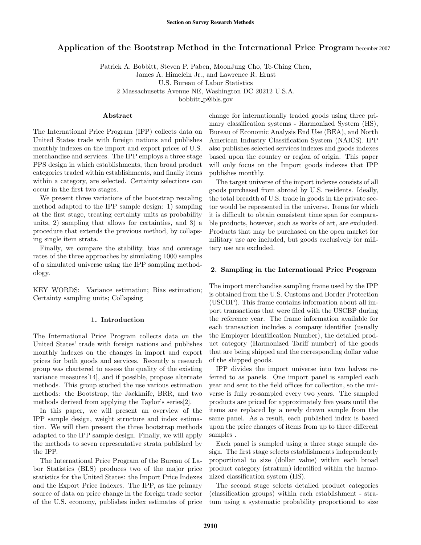# Application of the Bootstrap Method in the International Price Program December 2007

Patrick A. Bobbitt, Steven P. Paben, MoonJung Cho, Te-Ching Chen,

James A. Himelein Jr., and Lawrence R. Ernst

U.S. Bureau of Labor Statistics

2 Massachusetts Avenue NE, Washington DC 20212 U.S.A.

bobbitt p@bls.gov

### Abstract

The International Price Program (IPP) collects data on United States trade with foreign nations and publishes monthly indexes on the import and export prices of U.S. merchandise and services. The IPP employs a three stage PPS design in which establishments, then broad product categories traded within establishments, and finally items within a category, are selected. Certainty selections can occur in the first two stages.

We present three variations of the bootstrap rescaling method adapted to the IPP sample design: 1) sampling at the first stage, treating certainty units as probability units, 2) sampling that allows for certainties, and 3) a procedure that extends the previous method, by collapsing single item strata.

Finally, we compare the stability, bias and coverage rates of the three approaches by simulating 1000 samples of a simulated universe using the IPP sampling methodology.

KEY WORDS: Variance estimation; Bias estimation; Certainty sampling units; Collapsing

## 1. Introduction

The International Price Program collects data on the United States' trade with foreign nations and publishes monthly indexes on the changes in import and export prices for both goods and services. Recently a research group was chartered to assess the quality of the existing variance measures[14], and if possible, propose alternate methods. This group studied the use various estimation methods: the Bootstrap, the Jackknife, BRR, and two methods derived from applying the Taylor's series[2].

In this paper, we will present an overview of the IPP sample design, weight structure and index estimation. We will then present the three bootstrap methods adapted to the IPP sample design. Finally, we will apply the methods to seven representative strata published by the IPP.

The International Price Program of the Bureau of Labor Statistics (BLS) produces two of the major price statistics for the United States: the Import Price Indexes and the Export Price Indexes. The IPP, as the primary source of data on price change in the foreign trade sector of the U.S. economy, publishes index estimates of price change for internationally traded goods using three primary classification systems - Harmonized System (HS), Bureau of Economic Analysis End Use (BEA), and North American Industry Classification System (NAICS). IPP also publishes selected services indexes and goods indexes based upon the country or region of origin. This paper will only focus on the Import goods indexes that IPP publishes monthly.

The target universe of the import indexes consists of all goods purchased from abroad by U.S. residents. Ideally, the total breadth of U.S. trade in goods in the private sector would be represented in the universe. Items for which it is difficult to obtain consistent time span for comparable products, however, such as works of art, are excluded. Products that may be purchased on the open market for military use are included, but goods exclusively for military use are excluded.

## 2. Sampling in the International Price Program

The import merchandise sampling frame used by the IPP is obtained from the U.S. Customs and Border Protection (USCBP). This frame contains information about all import transactions that were filed with the USCBP during the reference year. The frame information available for each transaction includes a company identifier (usually the Employer Identification Number), the detailed product category (Harmonized Tariff number) of the goods that are being shipped and the corresponding dollar value of the shipped goods.

IPP divides the import universe into two halves referred to as panels. One import panel is sampled each year and sent to the field offices for collection, so the universe is fully re-sampled every two years. The sampled products are priced for approximately five years until the items are replaced by a newly drawn sample from the same panel. As a result, each published index is based upon the price changes of items from up to three different samples .

Each panel is sampled using a three stage sample design. The first stage selects establishments independently proportional to size (dollar value) within each broad product category (stratum) identified within the harmonized classification system (HS).

The second stage selects detailed product categories (classification groups) within each establishment - stratum using a systematic probability proportional to size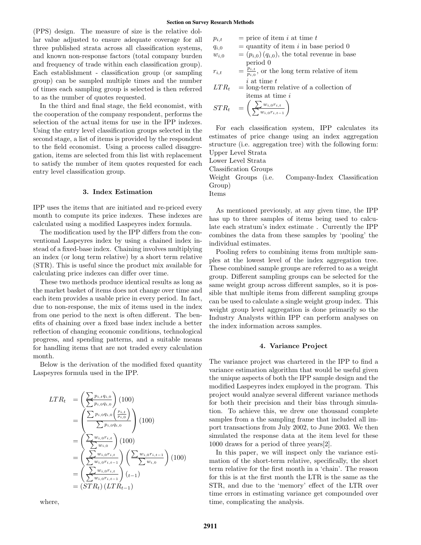(PPS) design. The measure of size is the relative dollar value adjusted to ensure adequate coverage for all three published strata across all classification systems, and known non-response factors (total company burden and frequency of trade within each classification group). Each establishment - classification group (or sampling group) can be sampled multiple times and the number of times each sampling group is selected is then referred to as the number of quotes requested.

In the third and final stage, the field economist, with the cooperation of the company respondent, performs the selection of the actual items for use in the IPP indexes. Using the entry level classification groups selected in the second stage, a list of items is provided by the respondent to the field economist. Using a process called disaggregation, items are selected from this list with replacement to satisfy the number of item quotes requested for each entry level classification group.

## 3. Index Estimation

IPP uses the items that are initiated and re-priced every month to compute its price indexes. These indexes are calculated using a modified Laspeyres index formula.

The modification used by the IPP differs from the conventional Laspeyres index by using a chained index instead of a fixed-base index. Chaining involves multiplying an index (or long term relative) by a short term relative (STR). This is useful since the product mix available for calculating price indexes can differ over time.

These two methods produce identical results as long as the market basket of items does not change over time and each item provides a usable price in every period. In fact, due to non-response, the mix of items used in the index from one period to the next is often different. The benefits of chaining over a fixed base index include a better reflection of changing economic conditions, technological progress, and spending patterns, and a suitable means for handling items that are not traded every calculation month.

Below is the derivation of the modified fixed quantity Laspeyres formula used in the IPP.

$$
LTR_t = \left(\frac{\sum p_{i,t}q_{i,0}}{\sum p_{i,0}q_{i,0}}\right)(100)
$$
  
= 
$$
\left(\frac{\sum p_{i,0}q_{i,0}}{\sum p_{i,0}q_{i,0}}\right)(100)
$$
  
= 
$$
\left(\frac{\sum w_{i,0}r_{i,t}}{\sum w_{i,0}}\right)(100)
$$
  
= 
$$
\left(\frac{\sum w_{i,0}r_{i,t}}{\sum w_{i,0}r_{i,t}}\right)\left(\frac{\sum w_{i,0}r_{i,t-1}}{\sum w_{i,0}}\right)(100)
$$
  
= 
$$
\left(\frac{\sum w_{i,0}r_{i,t}}{\sum w_{i,0}r_{i,t-1}}\right)(t-1)
$$
  
= 
$$
(STR_t)(LTR_{t-1})
$$

where,

$$
p_{i,t} = \text{price of item } i \text{ at time } t
$$

 $q_{i,0}$  = quantity of item i in base period 0

$$
w_{i,0}
$$
 =  $(p_{i,0}) (q_{i,0})$ , the total revenue in base  
period 0

$$
r_{i,t} = \frac{\tilde{p}_{i,t}}{p_{i,0}}, \text{ or the long term relative of item } i \text{ at time } t
$$

 $LTR_t = \text{long-term relative of a collection of}$ items at time i

$$
STR_t = \left(\frac{\sum w_{i,0} r_{i,t}}{\sum w_{i,0} r_{i,t-1}}\right)
$$

For each classification system, IPP calculates its estimates of price change using an index aggregation structure (i.e. aggregation tree) with the following form: Upper Level Strata

Lower Level Strata

Classification Groups

Weight Groups (i.e. Company-Index Classification Group)

Items

As mentioned previously, at any given time, the IPP has up to three samples of items being used to calculate each stratum's index estimate . Currently the IPP combines the data from these samples by 'pooling' the individual estimates.

Pooling refers to combining items from multiple samples at the lowest level of the index aggregation tree. These combined sample groups are referred to as a weight group. Different sampling groups can be selected for the same weight group across different samples, so it is possible that multiple items from different sampling groups can be used to calculate a single weight group index. This weight group level aggregation is done primarily so the Industry Analysts within IPP can perform analyses on the index information across samples.

#### 4. Variance Project

The variance project was chartered in the IPP to find a variance estimation algorithm that would be useful given the unique aspects of both the IPP sample design and the modified Laspeyres index employed in the program. This project would analyze several different variance methods for both their precision and their bias through simulation. To achieve this, we drew one thousand complete samples from a the sampling frame that included all import transactions from July 2002, to June 2003. We then simulated the response data at the item level for these 1000 draws for a period of three years[2].

In this paper, we will inspect only the variance estimation of the short-term relative, specifically, the short term relative for the first month in a 'chain'. The reason for this is at the first month the LTR is the same as the STR, and due to the 'memory' effect of the LTR over time errors in estimating variance get compounded over time, complicating the analysis.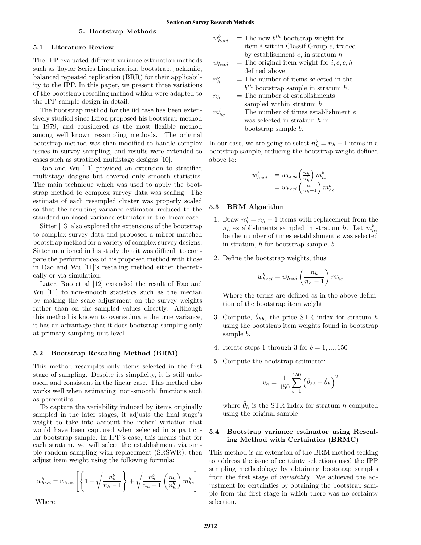# 5. Bootstrap Methods

# 5.1 Literature Review

The IPP evaluated different variance estimation methods such as Taylor Series Linearization, bootstrap, jackknife, balanced repeated replication (BRR) for their applicability to the IPP. In this paper, we present three variations of the bootstrap rescaling method which were adapted to the IPP sample design in detail.

The bootstrap method for the iid case has been extensively studied since Efron proposed his bootstrap method in 1979, and considered as the most flexible method among well known resampling methods. The original bootstrap method was then modified to handle complex issues in survey sampling, and results were extended to cases such as stratified multistage designs [10].

Rao and Wu [11] provided an extension to stratified multistage designs but covered only smooth statistics. The main technique which was used to apply the bootstrap method to complex survey data was scaling. The estimate of each resampled cluster was properly scaled so that the resulting variance estimator reduced to the standard unbiased variance estimator in the linear case.

Sitter [13] also explored the extensions of the bootstrap to complex survey data and proposed a mirror-matched bootstrap method for a variety of complex survey designs. Sitter mentioned in his study that it was difficult to compare the performances of his proposed method with those in Rao and Wu [11]'s rescaling method either theoretically or via simulation.

Later, Rao et al [12] extended the result of Rao and Wu [11] to non-smooth statistics such as the median by making the scale adjustment on the survey weights rather than on the sampled values directly. Although this method is known to overestimate the true variance, it has an advantage that it does bootstrap-sampling only at primary sampling unit level.

#### 5.2 Bootstrap Rescaling Method (BRM)

This method resamples only items selected in the first stage of sampling. Despite its simplicity, it is still unbiased, and consistent in the linear case. This method also works well when estimating 'non-smooth' functions such as percentiles.

To capture the variability induced by items originally sampled in the later stages, it adjusts the final stage's weight to take into account the 'other' variation that would have been captured when selected in a particular bootstrap sample. In IPP's case, this means that for each stratum, we will select the establishment via simple random sampling with replacement (SRSWR), then adjust item weight using the following formula:

$$
w_{heci}^b = w_{heci} \left[ \left\{ 1 - \sqrt{\frac{n_n^b}{n_h - 1}} \right\} + \sqrt{\frac{n_n^b}{n_h - 1}} \left( \frac{n_h}{n_h^b} \right) m_{he}^b \right]
$$

Where:

- $w_h^b$  $h_{eci}$  = The new  $b^{th}$  bootstrap weight for item i within Classif-Group c, traded by establishment  $e$ , in stratum  $h$
- $w_{heci}$  = The original item weight for  $i, e, c, h$ defined above.
- $n_h^b$  $=$  The number of items selected in the  $b^{th}$  bootstrap sample in stratum h.
- $n_h$  = The number of establishments sampled within stratum h
- $m_{he}^b$  $=$  The number of times establishment  $e$ was selected in stratum  $h$  in bootstrap sample b.

In our case, we are going to select  $n_h^b = n_h - 1$  items in a bootstrap sample, reducing the bootstrap weight defined above to:

$$
w_{heci}^b = w_{heci} \left(\frac{n_h}{n_h^b}\right) m_{he}^b
$$
  
= 
$$
w_{heci} \left(\frac{n_h}{n_h-1}\right) m_{he}^b
$$

## 5.3 BRM Algorithm

- 1. Draw  $n_h^b = n_h 1$  items with replacement from the  $n_h$  establishments sampled in stratum h. Let  $m_{he}^b$ be the number of times establishment e was selected in stratum, h for bootstrap sample, b.
- 2. Define the bootstrap weights, thus:

$$
w_{heci}^b = w_{heci} \left(\frac{n_h}{n_h - 1}\right) m_{he}^b
$$

Where the terms are defined as in the above definition of the bootstrap item weight

- 3. Compute,  $\hat{\theta}_{hb}$ , the price STR index for stratum h using the bootstrap item weights found in bootstrap sample b.
- 4. Iterate steps 1 through 3 for  $b = 1, ..., 150$
- 5. Compute the bootstrap estimator:

$$
v_h = \frac{1}{150} \sum_{b=1}^{150} \left( \hat{\theta}_{hb} - \hat{\theta}_h \right)^2
$$

where  $\hat{\theta}_h$  is the STR index for stratum h computed using the original sample

# 5.4 Bootstrap variance estimator using Rescaling Method with Certainties (BRMC)

This method is an extension of the BRM method seeking to address the issue of certainty selections used the IPP sampling methodology by obtaining bootstrap samples from the first stage of variability. We achieved the adjustment for certainties by obtaining the bootstrap sample from the first stage in which there was no certainty selection.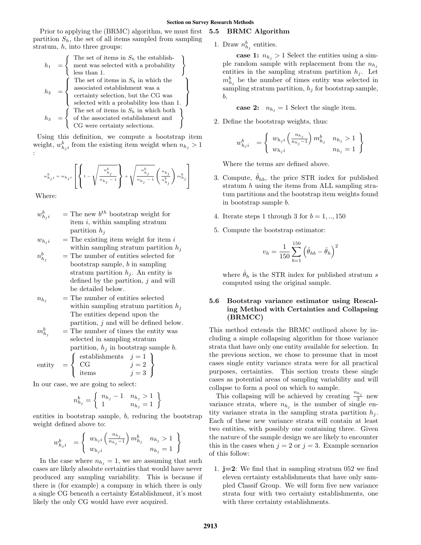Prior to applying the (BRMC) algorithm, we must first partition  $S_h$ , the set of all items sampled from sampling stratum,  $h$ , into three groups:

$$
h_1 = \left\{\begin{array}{l}\text{The set of items in } S_h \text{ the establishment} \\ \text{ment was selected with a probability} \\ \text{less than 1.} \end{array}\right\}
$$
\n
$$
h_2 = \left\{\begin{array}{l}\text{The set of items in } S_h \text{ in which the associated establishment was a \\ \text{certainty selection, but the CG was selected with a probability less than 1.} \\ \text{The set of items in } S_h \text{ in which both} \\ h_3 = \left\{\begin{array}{l}\text{The set of items in } S_h \text{ in which both} \\ \text{of the associated establishment and} \\ \text{CG were certainty selections.}\end{array}\right\}
$$

Using this definition, we compute a bootstrap item weight,  $w_{h_j i}^b$  from the existing item weight when  $n_{h_j} > 1$ :

$$
w_{h_ji}^b=w_{h_ji}\left[\left\{1-\sqrt{\frac{n_{h_j}^b}{n_{h_j}-1}}\right\}+\sqrt{\frac{n_{h_j}^b}{n_{h_j}-1}}\left(\frac{n_{h_j}}{n_{h_j}^b}\right)m_{h_j}^b\right]
$$

Where:

- $w_h^b$  $h_{j,i}^{b}$  = The new  $b^{th}$  bootstrap weight for item  $i$ , within sampling stratum partition  $h_j$
- $w_{h,i}$  = The existing item weight for item i within sampling stratum partition  $h_i$
- $n_h^b$  $=$  The number of entities selected for bootstrap sample, b in sampling stratum partition  $h_i$ . An entity is defined by the partition,  $j$  and will be detailed below.
- $n_{h_j}$  = The number of entities selected within sampling stratum partition  $h_i$ The entities depend upon the partition, j and will be defined below.
- $m_{h_i}^b$  $=$  The number of times the entity was selected in sampling stratum partition,  $h_j$  in bootstrap sample b.

$$
entity = \left\{ \begin{array}{ll} \text{establishments} & j = 1 \\ \text{CG} & j = 2 \\ \text{items} & j = 3 \end{array} \right\}
$$

In our case, we are going to select:

$$
n_{h_j}^b = \left\{ \begin{array}{ll} n_{h_j} - 1 & n_{h_j} > 1 \\ 1 & n_{h_j} = 1 \end{array} \right\}
$$

entities in bootstrap sample, b, reducing the bootstrap weight defined above to:

$$
w_{h_j i}^b = \begin{cases} w_{h_j i} \left( \frac{n_{h_j}}{n_{h_j} - 1} \right) m_{h_j}^b & n_{h_j} > 1 \\ w_{h_j i} & n_{h_j} = 1 \end{cases}
$$

In the case where  $n_{h_j} = 1$ , we are assuming that such cases are likely absolute certainties that would have never produced any sampling variability. This is because if there is (for example) a company in which there is only a single CG beneath a certainty Establishment, it's most likely the only CG would have ever acquired.

# 5.5 BRMC Algorithm

1. Draw  $n_{h_j}^b$  entities.

case 1:  $n_{h_i} > 1$  Select the entities using a simple random sample with replacement from the  $n_{h_i}$ entities in the sampling stratum partition  $h_i$ . Let  $m_{h_j}^b$  be the number of times entity was selected in sampling stratum partition,  $h_i$  for bootstrap sample, b.

case 2:  $n_{h_i} = 1$  Select the single item.

2. Define the bootstrap weights, thus:

$$
w_{h_j i}^b = \begin{cases} w_{h_j i} \left( \frac{n_{h_j}}{n_{h_j} - 1} \right) m_{h_j}^b & n_{h_j} > 1 \\ w_{h_j i} & n_{h_j} = 1 \end{cases}
$$

Where the terms are defined above.

- 3. Compute,  $\theta_{hb}$ , the price STR index for published stratum h using the items from ALL sampling stratum partitions and the bootstrap item weights found in bootstrap sample b.
- 4. Iterate steps 1 through 3 for  $b = 1, \ldots, 150$
- 5. Compute the bootstrap estimator:

$$
v_h = \frac{1}{150} \sum_{b=1}^{150} \left( \hat{\theta}_{hb} - \hat{\theta}_{h} \right)^2
$$

where  $\hat{\theta}_h$  is the STR index for published stratum s computed using the original sample.

# 5.6 Bootstrap variance estimator using Rescaling Method with Certainties and Collapsing (BRMCC)

This method extends the BRMC outlined above by including a simple collapsing algorithm for those variance strata that have only one entity available for selection. In the previous section, we chose to presume that in most cases single entity variance strata were for all practical purposes, certainties. This section treats these single cases as potential areas of sampling variability and will collapse to form a pool on which to sample.

This collapsing will be achieved by creating  $\frac{n_{h_j}}{2}$  new variance strata, where  $n_{h_j}$  is the number of single entity variance strata in the sampling strata partition  $h_i$ . Each of these new variance strata will contain at least two entities, with possibly one containing three. Given the nature of the sample design we are likely to encounter this in the cases when  $j = 2$  or  $j = 3$ . Example scenarios of this follow:

1.  $j=2$ : We find that in sampling stratum 052 we find eleven certainty establishments that have only sampled Classif Group. We will form five new variance strata four with two certainty establishments, one with three certainty establishments.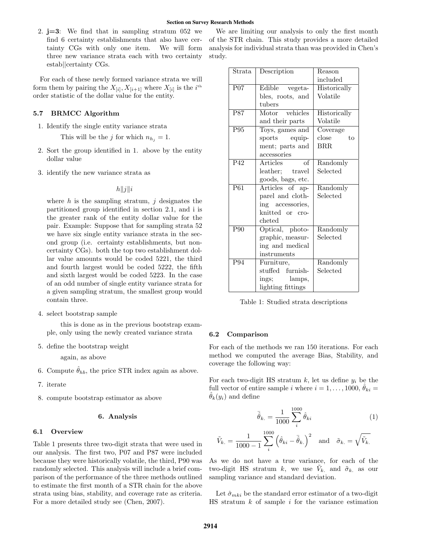2.  $i=3$ : We find that in sampling stratum 052 we find 6 certainty establishments that also have certainty CGs with only one item. We will form three new variance strata each with two certainty estab||certainty CGs.

For each of these newly formed variance strata we will form them by pairing the  $X_{[i]}$ ,  $X_{[i+1]}$  where  $X_{[i]}$  is the  $i^{\text{th}}$ order statistic of the dollar value for the entity.

# 5.7 BRMCC Algorithm

1. Identify the single entity variance strata

This will be the j for which  $n_{h_i} = 1$ .

- 2. Sort the group identified in 1. above by the entity dollar value
- 3. identify the new variance strata as

 $h||j||i$ 

where  $h$  is the sampling stratum,  $j$  designates the partitioned group identified in section 2.1, and i is the greater rank of the entity dollar value for the pair. Example: Suppose that for sampling strata 52 we have six single entity variance strata in the second group (i.e. certainty establishments, but noncertainty CGs). both the top two establishment dollar value amounts would be coded 5221, the third and fourth largest would be coded 5222, the fifth and sixth largest would be coded 5223. In the case of an odd number of single entity variance strata for a given sampling stratum, the smallest group would contain three.

4. select bootstrap sample

this is done as in the previous bootstrap example, only using the newly created variance strata

5. define the bootstrap weight

again, as above

- 6. Compute  $\hat{\theta}_{hb}$ , the price STR index again as above.
- 7. iterate
- 8. compute bootstrap estimator as above

## 6. Analysis

## 6.1 Overview

Table 1 presents three two-digit strata that were used in our analysis. The first two, P07 and P87 were included because they were historically volatile, the third, P90 was randomly selected. This analysis will include a brief comparison of the performance of the three methods outlined to estimate the first month of a STR chain for the above strata using bias, stability, and coverage rate as criteria. For a more detailed study see (Chen, 2007).

We are limiting our analysis to only the first month of the STR chain. This study provides a more detailed analysis for individual strata than was provided in Chen's study.

| Strata          | Description                        | Reason                |  |
|-----------------|------------------------------------|-----------------------|--|
|                 |                                    | included              |  |
| $P_{07}$        | Edible vegeta-                     | Historically          |  |
|                 | bles, roots, and                   | Volatile              |  |
|                 | tubers                             |                       |  |
| <b>P87</b>      | Motor vehicles                     | Historically          |  |
|                 | and their parts                    | Volatile              |  |
| P95             | Toys, games and                    | Coverage              |  |
|                 | sports equip-                      | $t_{\Omega}$<br>close |  |
|                 | ment; parts and                    | BRR.                  |  |
|                 | accessories                        |                       |  |
| P <sub>42</sub> | $\overline{\text{of}}$<br>Articles | Randomly              |  |
|                 | leather; travel                    | Selected              |  |
|                 | goods, bags, etc.                  |                       |  |
| P61             | Articles of ap-                    | Randomly              |  |
|                 | parel and cloth-                   | Selected              |  |
|                 | ing accessories,                   |                       |  |
|                 | knitted or cro-                    |                       |  |
|                 | cheted                             |                       |  |
| P90             | Optical, photo-                    | Randomly              |  |
|                 | graphic, measur-                   | Selected              |  |
|                 | ing and medical                    |                       |  |
|                 | instruments                        |                       |  |
| P94             | Furniture,                         | Randomly              |  |
|                 | stuffed furnish-                   | Selected              |  |
|                 | ings; lamps,                       |                       |  |
|                 | lighting fittings                  |                       |  |

Table 1: Studied strata descriptions

## 6.2 Comparison

For each of the methods we ran 150 iterations. For each method we computed the average Bias, Stability, and coverage the following way:

For each two-digit HS stratum  $k$ , let us define  $y_i$  be the full vector of entire sample i where  $i = 1, \ldots, 1000, \theta_{ki} =$  $\theta_k(y_i)$  and define

$$
\bar{\hat{\theta}}_{k.} = \frac{1}{1000} \sum_{i}^{1000} \hat{\theta}_{ki} \tag{1}
$$

$$
\tilde{V}_{k.} = \frac{1}{1000 - 1} \sum_{i}^{1000} \left( \hat{\theta}_{ki} - \bar{\hat{\theta}}_{k.} \right)^2 \quad \text{and} \quad \tilde{\sigma}_{k.} = \sqrt{\tilde{V}_{k.}}
$$

As we do not have a true variance, for each of the two-digit HS stratum k, we use  $\tilde{V}_k$  and  $\tilde{\sigma}_k$  as our sampling variance and standard deviation.

Let  $\hat{\sigma}_{mki}$  be the standard error estimator of a two-digit  $HS$  stratum  $k$  of sample  $i$  for the variance estimation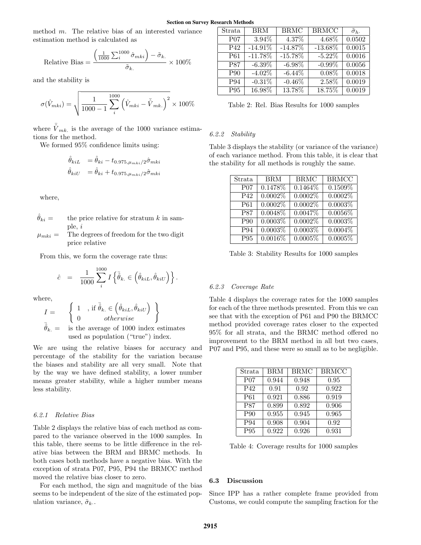method  $m$ . The relative bias of an interested variance estimation method is calculated as

Relative Bias = 
$$
\frac{\left(\frac{1}{1000}\sum_{i}^{1000}\hat{\sigma}_{mki}\right) - \tilde{\sigma}_{k.}}{\tilde{\sigma}_{k.}} \times 100\%
$$

and the stability is

$$
\sigma(\hat{V}_{mki}) = \sqrt{\frac{1}{1000 - 1} \sum_{i}^{1000} (\hat{V}_{mki} - \bar{\hat{V}}_{mki})^2} \times 100\%
$$

where  $\bar{\hat{V}}_{mk}$  is the average of the 1000 variance estimations for the method.

We formed 95% confidence limits using:

$$
\begin{aligned}\n\hat{\theta}_{kiL} &= \hat{\theta}_{ki} - t_{0.975, \mu_{mki}/2} \hat{\sigma}_{mki} \\
\hat{\theta}_{kiU} &= \hat{\theta}_{ki} + t_{0.975, \mu_{mki}/2} \hat{\sigma}_{mki}\n\end{aligned}
$$

where,

- $\hat{\theta}_{ki}$  = the price relative for stratum k in sample, i
- $\mu_{mki} =$  The degrees of freedom for the two digit price relative

From this, we form the coverage rate thus:

$$
\hat{c} = \frac{1}{1000} \sum_{i}^{1000} I\left\{\bar{\hat{\theta}}_{k.} \in \left(\hat{\theta}_{kiL}, \hat{\theta}_{kiU}\right)\right\}.
$$

where,

$$
I = \begin{cases} 1, & \text{if } \bar{\hat{\theta}}_k \in (\hat{\theta}_{kil}, \hat{\theta}_{kil}) \\ 0 & otherwise \end{cases}
$$

$$
\bar{\hat{\theta}}_k = \text{is the average of } 1000 \text{ index estimates} used as population ("true") index.
$$

We are using the relative biases for accuracy and percentage of the stability for the variation because the biases and stability are all very small. Note that by the way we have defined stability, a lower number means greater stability, while a higher number means less stability.

# 6.2.1 Relative Bias

Table 2 displays the relative bias of each method as compared to the variance observed in the 1000 samples. In this table, there seems to be little difference in the relative bias between the BRM and BRMC methods. In both cases both methods have a negative bias. With the exception of strata P07, P95, P94 the BRMCC method moved the relative bias closer to zero.

For each method, the sign and magnitude of the bias seems to be independent of the size of the estimated population variance,  $\tilde{\sigma}_k$ .

| Strata     | <b>BRM</b> | <b>BRMC</b> | <b>BRMCC</b> | $\tilde{\sigma}_h$ . |
|------------|------------|-------------|--------------|----------------------|
| $P_{07}$   | 3.94%      | 4.37%       | $4.68\%$     | 0.0502               |
| P42        | $-14.91\%$ | $-14.87%$   | $-13.68\%$   | 0.0015               |
| P61        | $-11.78\%$ | $-15.78\%$  | $-5.22%$     | 0.0016               |
| <b>P87</b> | $-6.39\%$  | $-6.98\%$   | $-0.99%$     | 0.0056               |
| P90        | $-4.02\%$  | $-6.44\%$   | 0.08%        | 0.0018               |
| P94        | $-0.31%$   | $-0.46%$    | 2.58%        | 0.0019               |
| P95        | 16.98%     | 13.78%      | 18.75%       | 0.0019               |

Table 2: Rel. Bias Results for 1000 samples

### 6.2.2 Stability

Table 3 displays the stability (or variance of the variance) of each variance method. From this table, it is clear that the stability for all methods is roughly the same.

| Strata           | <b>BRM</b> | <b>BRMC</b> | <b>BRMCC</b> |
|------------------|------------|-------------|--------------|
| P <sub>0</sub> 7 | 0.1478%    | $0.1464\%$  | 0.1509%      |
| P42              | $0.0002\%$ | 0.0002%     | 0.0002%      |
| P <sub>61</sub>  | $0.0002\%$ | 0.0002%     | 0.0003%      |
| <b>P87</b>       | $0.0048\%$ | 0.0047%     | $0.0056\%$   |
| P <sub>90</sub>  | 0.0003%    | 0.0002%     | 0.0003%      |
| P94              | 0.0003%    | 0.0003%     | $0.0004\%$   |
| $\overline{P95}$ | $0.0016\%$ | 0.0005%     | 0.0005%      |

Table 3: Stability Results for 1000 samples

## 6.2.3 Coverage Rate

Table 4 displays the coverage rates for the 1000 samples for each of the three methods presented. From this we can see that with the exception of P61 and P90 the BRMCC method provided coverage rates closer to the expected 95% for all strata, and the BRMC method offered no improvement to the BRM method in all but two cases, P07 and P95, and these were so small as to be negligible.

| Strata     | BRM   | BRMC  | <b>BRMCC</b> |
|------------|-------|-------|--------------|
| $P_{07}$   | 0.944 | 0.948 | 0.95         |
| P42        | 0.91  | 0.92  | 0.922        |
| P61        | 0.921 | 0.886 | 0.919        |
| <b>P87</b> | 0.899 | 0.892 | 0.906        |
| P90        | 0.955 | 0.945 | 0.965        |
| P94        | 0.908 | 0.904 | 0.92         |
| P95        | 0.922 | 0.926 | 0.931        |

Table 4: Coverage results for 1000 samples

# 6.3 Discussion

Since IPP has a rather complete frame provided from Customs, we could compute the sampling fraction for the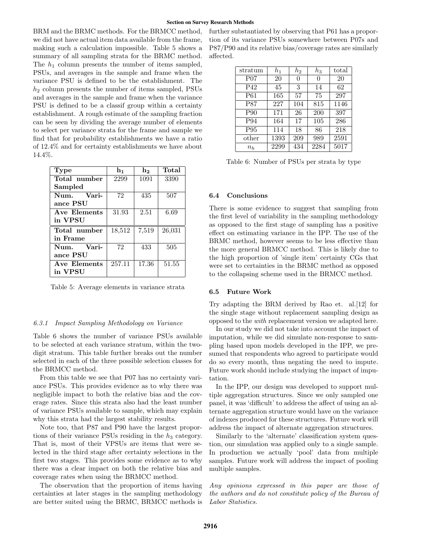BRM and the BRMC methods. For the BRMCC method, we did not have actual item data available from the frame, making such a calculation impossible. Table 5 shows a summary of all sampling strata for the BRMC method. The  $h_1$  column presents the number of items sampled, PSUs, and averages in the sample and frame when the variance PSU is defined to be the establishment. The  $h_2$  column presents the number of items sampled, PSUs and averages in the sample and frame when the variance PSU is defined to be a classif group within a certainty establishment. A rough estimate of the sampling fraction can be seen by dividing the average number of elements to select per variance strata for the frame and sample we find that for probability establishments we have a ratio of 12.4% and for certainty establishments we have about 14.4%.

| Type          | $\mathbf{h}_1$ | $\mathbf{h}_{2}$ | Total  |
|---------------|----------------|------------------|--------|
| Total number  | 2299           | 1091             | 3390   |
| Sampled       |                |                  |        |
| Vari-<br>Num. | 72             | 435              | 507    |
| ance PSU      |                |                  |        |
| Ave Elements  | 31.93          | 2.51             | 6.69   |
| in VPSU       |                |                  |        |
| Total number  | 18,512         | 7,519            | 26,031 |
| in Frame      |                |                  |        |
| Vari-<br>Num. | 72             | 433              | 505    |
| ance PSU      |                |                  |        |
| Ave Elements  | 257.11         | 17.36            | 51.55  |
| in VPSU       |                |                  |        |

Table 5: Average elements in variance strata

### 6.3.1 Impact Sampling Methodology on Variance

Table 6 shows the number of variance PSUs available to be selected at each variance stratum, within the twodigit stratum. This table further breaks out the number selected in each of the three possible selection classes for the BRMCC method.

From this table we see that P07 has no certainty variance PSUs. This provides evidence as to why there was negligible impact to both the relative bias and the coverage rates. Since this strata also had the least number of variance PSUs available to sample, which may explain why this strata had the largest stability results.

Note too, that P87 and P90 have the largest proportions of their variance PSUs residing in the  $h_3$  category. That is, most of their VPSUs are items that were selected in the third stage after certainty selections in the first two stages. This provides some evidence as to why there was a clear impact on both the relative bias and coverage rates when using the BRMCC method.

The observation that the proportion of items having certainties at later stages in the sampling methodology are better suited using the BRMC, BRMCC methods is

further substantiated by observing that P61 has a proportion of its variance PSUs somewhere between P07s and P87/P90 and its relative bias/coverage rates are similarly affected.

| stratum          | $h_1$ | $h_2$ | $h_3$ | total |
|------------------|-------|-------|-------|-------|
| P <sub>0</sub> 7 | 20    | 0     | 0     | 20    |
| P42              | 45    | 3     | 14    | 62    |
| P <sub>61</sub>  | 165   | 57    | 75    | 297   |
| <b>P87</b>       | 227   | 104   | 815   | 1146  |
| P90              | 171   | 26    | 200   | 397   |
| P94              | 164   | 17    | 105   | 286   |
| P95              | 114   | 18    | 86    | 218   |
| other            | 1393  | 209   | 989   | 2591  |
| $n_h$            | 2299  | 434   | 2284  | 5017  |

Table 6: Number of PSUs per strata by type

#### 6.4 Conclusions

There is some evidence to suggest that sampling from the first level of variability in the sampling methodology as opposed to the first stage of sampling has a positive effect on estimating variance in the IPP. The use of the BRMC method, however seems to be less effective than the more general BRMCC method. This is likely due to the high proportion of 'single item' certainty CGs that were set to certainties in the BRMC method as opposed to the collapsing scheme used in the BRMCC method.

#### 6.5 Future Work

Try adapting the BRM derived by Rao et. al.[12] for the single stage without replacement sampling design as opposed to the with replacement version we adapted here.

In our study we did not take into account the impact of imputation, while we did simulate non-response to sampling based upon models developed in the IPP, we presumed that respondents who agreed to participate would do so every month, thus negating the need to impute. Future work should include studying the impact of imputation.

In the IPP, our design was developed to support multiple aggregation structures. Since we only sampled one panel, it was 'difficult' to address the affect of using an alternate aggregation structure would have on the variance of indexes produced for these structures. Future work will address the impact of alternate aggregation structures.

Similarly to the 'alternate' classification system question, our simulation was applied only to a single sample. In production we actually 'pool' data from multiple samples. Future work will address the impact of pooling multiple samples.

Any opinions expressed in this paper are those of the authors and do not constitute policy of the Bureau of Labor Statistics.